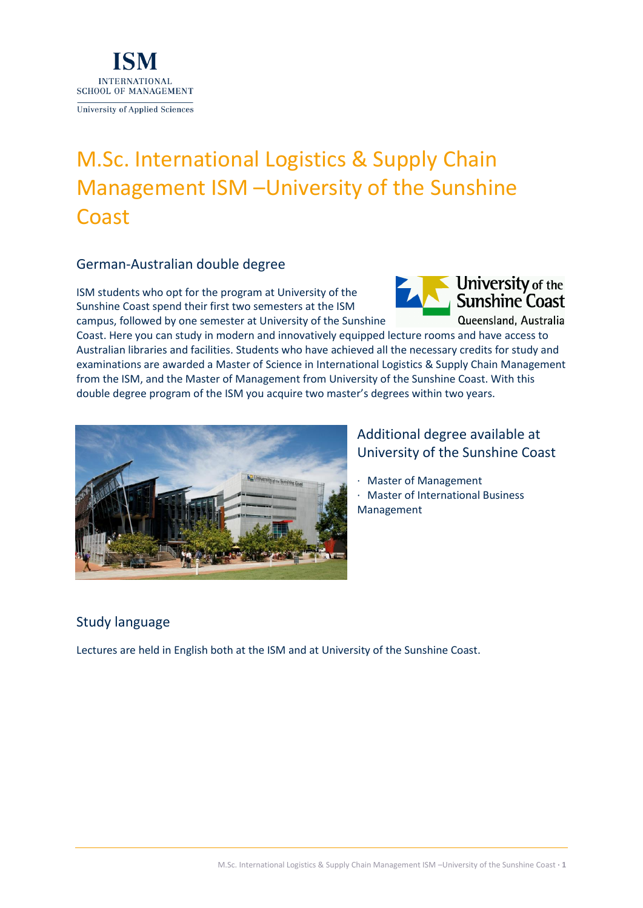

# M.Sc. International Logistics & Supply Chain Management ISM –University of the Sunshine Coast

#### German-Australian double degree

ISM students who opt for the program at University of the Sunshine Coast spend their first two semesters at the ISM campus, followed by one semester at University of the Sunshine



Coast. Here you can study in modern and innovatively equipped lecture rooms and have access to Australian libraries and facilities. Students who have achieved all the necessary credits for study and examinations are awarded a Master of Science in International Logistics & Supply Chain Management from the ISM, and the Master of Management from University of the Sunshine Coast. With this double degree program of the ISM you acquire two master's degrees within two years.



## Additional degree available at University of the Sunshine Coast

· Master of Management

· Master of International Business Management

# Study language

Lectures are held in English both at the ISM and at University of the Sunshine Coast.